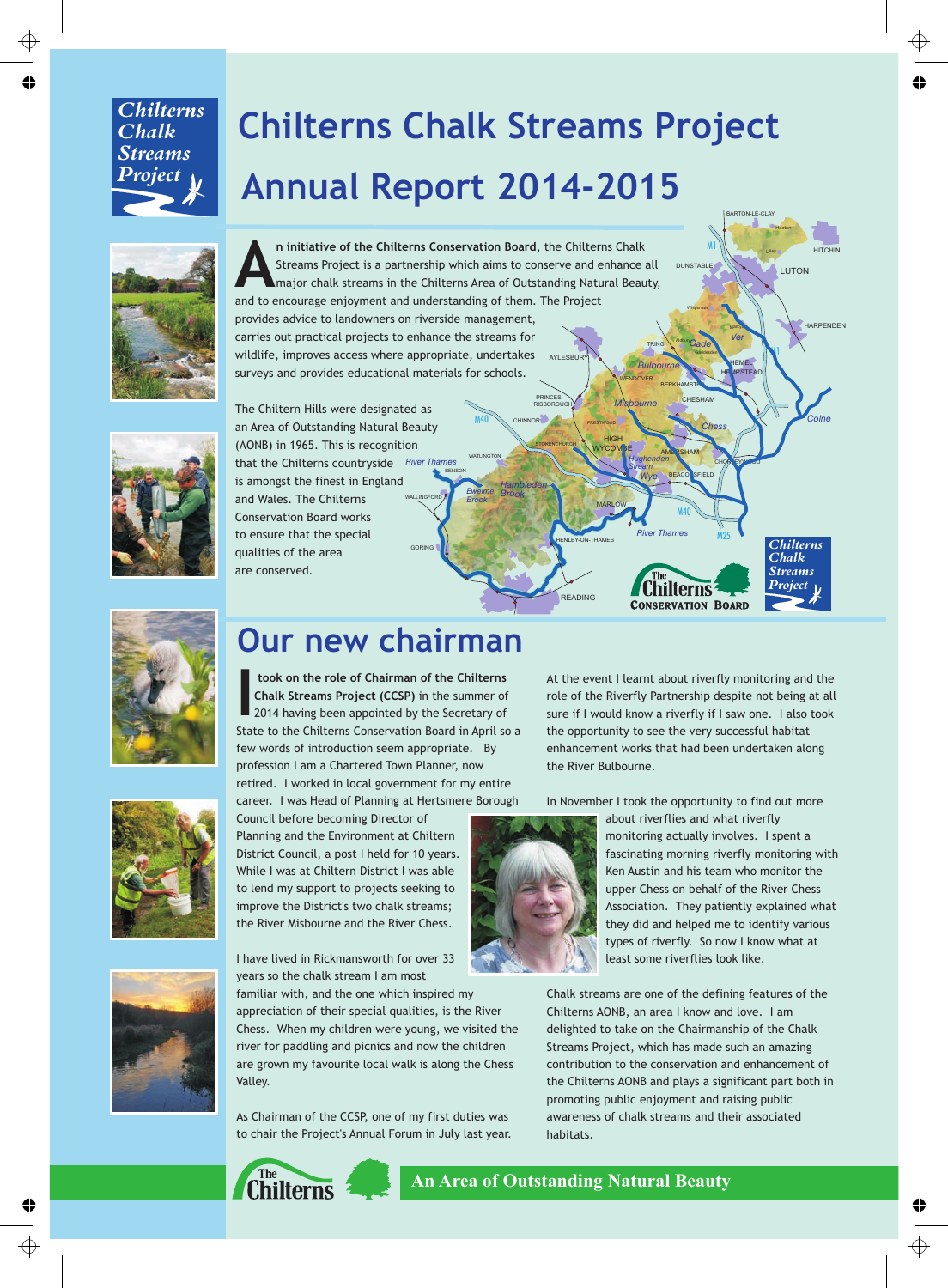#### *Chilterns Chalk Streams Project*

# **Chilterns Chalk Streams Project Annual Report 2014-2015**



AYLESBURY WENDOVER TRING BERKHAMSTEL<mark>.</mark> *Bulbourne* **n** initiative of the Chilterns Conservation Board,<br>Streams Project is a partnership which aims to cor<br>major chalk streams in the Chilterns Area of Outst<br>and to opcourage opiovment and understanding of them n initiative of the Chilterns Conservation Board, the Chilterns Chalk Streams Project is a partnership which aims to conserve and enhance all major chalk streams in the Chilterns Area of Outstanding Natural Beauty, and to encourage enjoyment and understanding of them. The Project provides advice to landowners on riverside management, carries out practical projects to enhance the streams for wildlife, improves access where appropriate, undertakes surveys and provides educational materials for schools.

BENSON

WATLINGTON

*Ewelme Brook*

M40

CHINNOR

*Hambleden Brook*

PRINCES RISBOROUGH

**STOKENCHURCH** 

**MARLOW** 

HIGH

*River Thames*

WYCOM BE AMERSHAM

*Hughenden Stream Wye*

*Misbourne*

M40

**CONSERVATION BOARD**

hilterns

**BEACON**SFIELD

PRESTWOOD

HENLEY-ON-THAMES

READING



GORING WALLINGFORD *River Thames* The Chiltern Hills were designated as an Area of Outstanding Natural Beauty (AONB) in 1965. This is recognition that the Chilterns countryside is amongst the finest in England and Wales. The Chilterns Conservation Board works to ensure that the special qualities of the area are conserved.



### **Our new chairman**

 **took on the role of Chairman of the Chilterns Chalk Streams Project (CCSP)** in the summer of **I**2014 having been appointed by the Secretary of State to the Chilterns Conservation Board in April so a few words of introduction seem appropriate. By profession I am a Chartered Town Planner, now retired. I worked in local government for my entire career. I was Head of Planning at Hertsmere Borough





I have lived in Rickmansworth for over 33 years so the chalk stream I am most familiar with, and the one which inspired my appreciation of their special qualities, is the River Chess. When my children were young, we visited the river for paddling and picnics and now the children are grown my favourite local walk is along the Chess

As Chairman of the CCSP, one of my first duties was to chair the Project's Annual Forum in July last year. At the event I learnt about riverfly monitoring and the role of the Riverfly Partnership despite not being at all sure if I would know a riverfly if I saw one. I also took the opportunity to see the very successful habitat enhancement works that had been undertaken along the River Bulbourne.

DUNSTABLE

Whipsnade

Gaddesden

*Gade Ver*

Aldbury

M1

CHESHAM

*Chess*

**LUTON** 

Hexton Lilley

M1

HITCHIN

**HARPENDEN** 

*Colne*

*Chilterns Chalk Streams Project* 

BARTON-LE-CLAY

**HEMEL HEMPSTEAD** 

Markya<sub>se</sub>

CHORLEYWOOD

M25

In November I took the opportunity to find out more



about riverflies and what riverfly monitoring actually involves. I spent a fascinating morning riverfly monitoring with Ken Austin and his team who monitor the upper Chess on behalf of the River Chess Association. They patiently explained what they did and helped me to identify various types of riverfly. So now I know what at least some riverflies look like.

Chalk streams are one of the defining features of the Chilterns AONB, an area I know and love. I am delighted to take on the Chairmanship of the Chalk Streams Project, which has made such an amazing contribution to the conservation and enhancement of the Chilterns AONB and plays a significant part both in promoting public enjoyment and raising public awareness of chalk streams and their associated habitats.



Valley.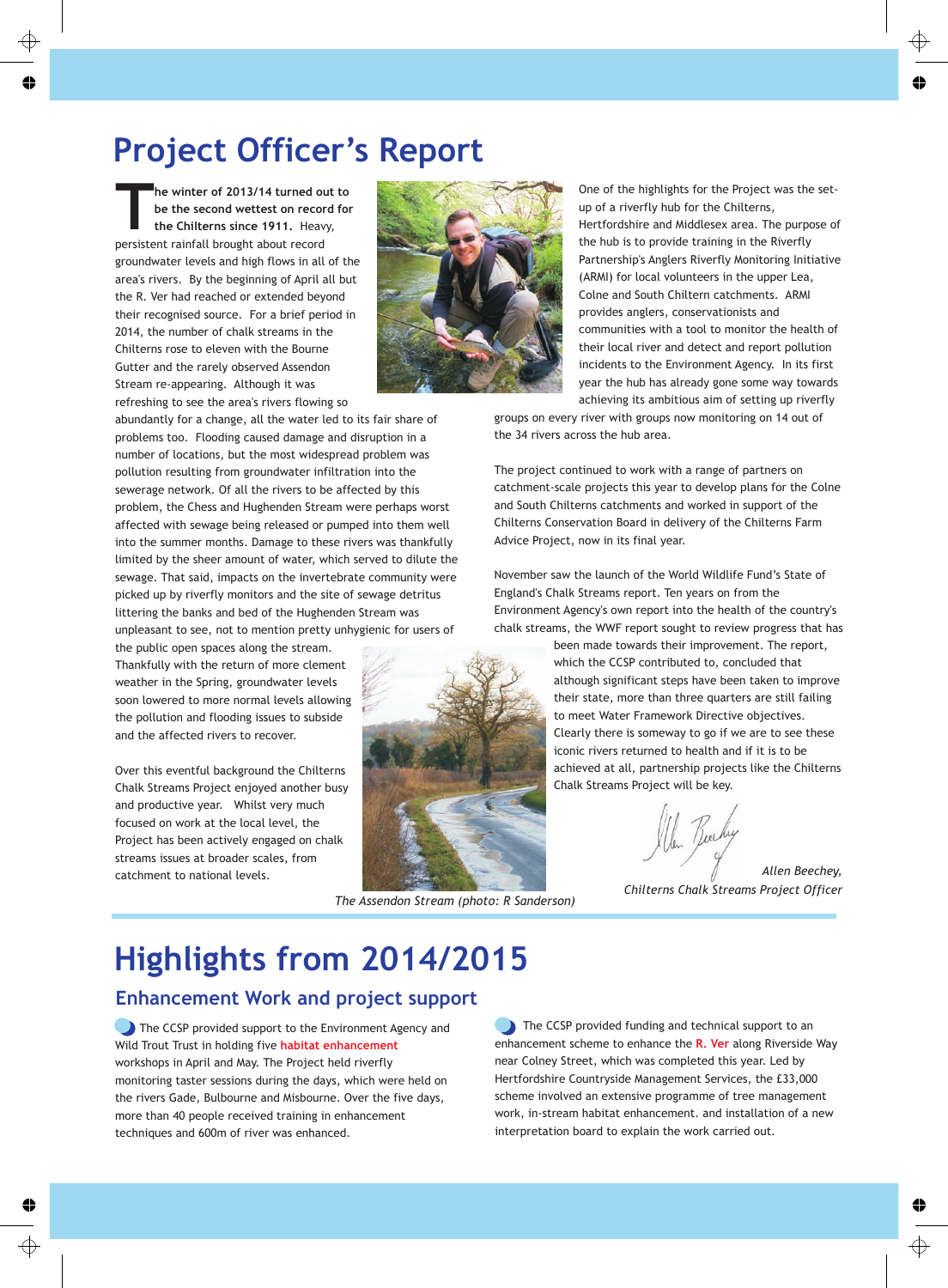### **Project Officer's Report**

**he winter of 2013/14 turned out to**<br>**be the second wettest on record for the Chilterns since 1911.** Heavy, persistent rainfall brought about record groundwater levels and high flows in all of the area's rivers. By the beginning of April all but the R. Ver had reached or extended beyond their recognised source. For a brief period in 2014, the number of chalk streams in the Chilterns rose to eleven with the Bourne Gutter and the rarely observed Assendon Stream re-appearing. Although it was refreshing to see the area's rivers flowing so



One of the highlights for the Project was the setup of a riverfly hub for the Chilterns, Hertfordshire and Middlesex area. The purpose of the hub is to provide training in the Riverfly Partnership's Anglers Riverfly Monitoring Initiative (ARMI) for local volunteers in the upper Lea, Colne and South Chiltern catchments. ARMI provides anglers, conservationists and communities with a tool to monitor the health of their local river and detect and report pollution incidents to the Environment Agency. In its first year the hub has already gone some way towards achieving its ambitious aim of setting up riverfly

groups on every river with groups now monitoring on 14 out of the 34 rivers across the hub area.

The project continued to work with a range of partners on catchment-scale projects this year to develop plans for the Colne and South Chilterns catchments and worked in support of the Chilterns Conservation Board in delivery of the Chilterns Farm Advice Project, now in its final year.

November saw the launch of the World Wildlife Fund's State of England's Chalk Streams report. Ten years on from the Environment Agency's own report into the health of the country's chalk streams, the WWF report sought to review progress that has

> been made towards their improvement. The report, which the CCSP contributed to, concluded that although significant steps have been taken to improve their state, more than three quarters are still failing to meet Water Framework Directive objectives. Clearly there is someway to go if we are to see these iconic rivers returned to health and if it is to be achieved at all, partnership projects like the Chilterns Chalk Streams Project will be key.

len Buchy

*Allen Beechey, Chilterns Chalk Streams Project Officer*

abundantly for a change, all the water led to its fair share of problems too. Flooding caused damage and disruption in a number of locations, but the most widespread problem was pollution resulting from groundwater infiltration into the sewerage network. Of all the rivers to be affected by this problem, the Chess and Hughenden Stream were perhaps worst affected with sewage being released or pumped into them well into the summer months. Damage to these rivers was thankfully limited by the sheer amount of water, which served to dilute the sewage. That said, impacts on the invertebrate community were picked up by riverfly monitors and the site of sewage detritus littering the banks and bed of the Hughenden Stream was unpleasant to see, not to mention pretty unhygienic for users of

the public open spaces along the stream. Thankfully with the return of more clement weather in the Spring, groundwater levels soon lowered to more normal levels allowing the pollution and flooding issues to subside and the affected rivers to recover.

Over this eventful background the Chilterns Chalk Streams Project enjoyed another busy and productive year. Whilst very much focused on work at the local level, the Project has been actively engaged on chalk streams issues at broader scales, from catchment to national levels.



*The Assendon Stream (photo: R Sanderson)*

# **Highlights from 2014/2015**

#### **Enhancement Work and project support**

The CCSP provided support to the Environment Agency and Wild Trout Trust in holding five **habitat enhancement** workshops in April and May. The Project held riverfly monitoring taster sessions during the days, which were held on the rivers Gade, Bulbourne and Misbourne. Over the five days, more than 40 people received training in enhancement techniques and 600m of river was enhanced.

The CCSP provided funding and technical support to an enhancement scheme to enhance the **R. Ver** along Riverside Way near Colney Street, which was completed this year. Led by Hertfordshire Countryside Management Services, the £33,000 scheme involved an extensive programme of tree management work, in-stream habitat enhancement. and installation of a new interpretation board to explain the work carried out.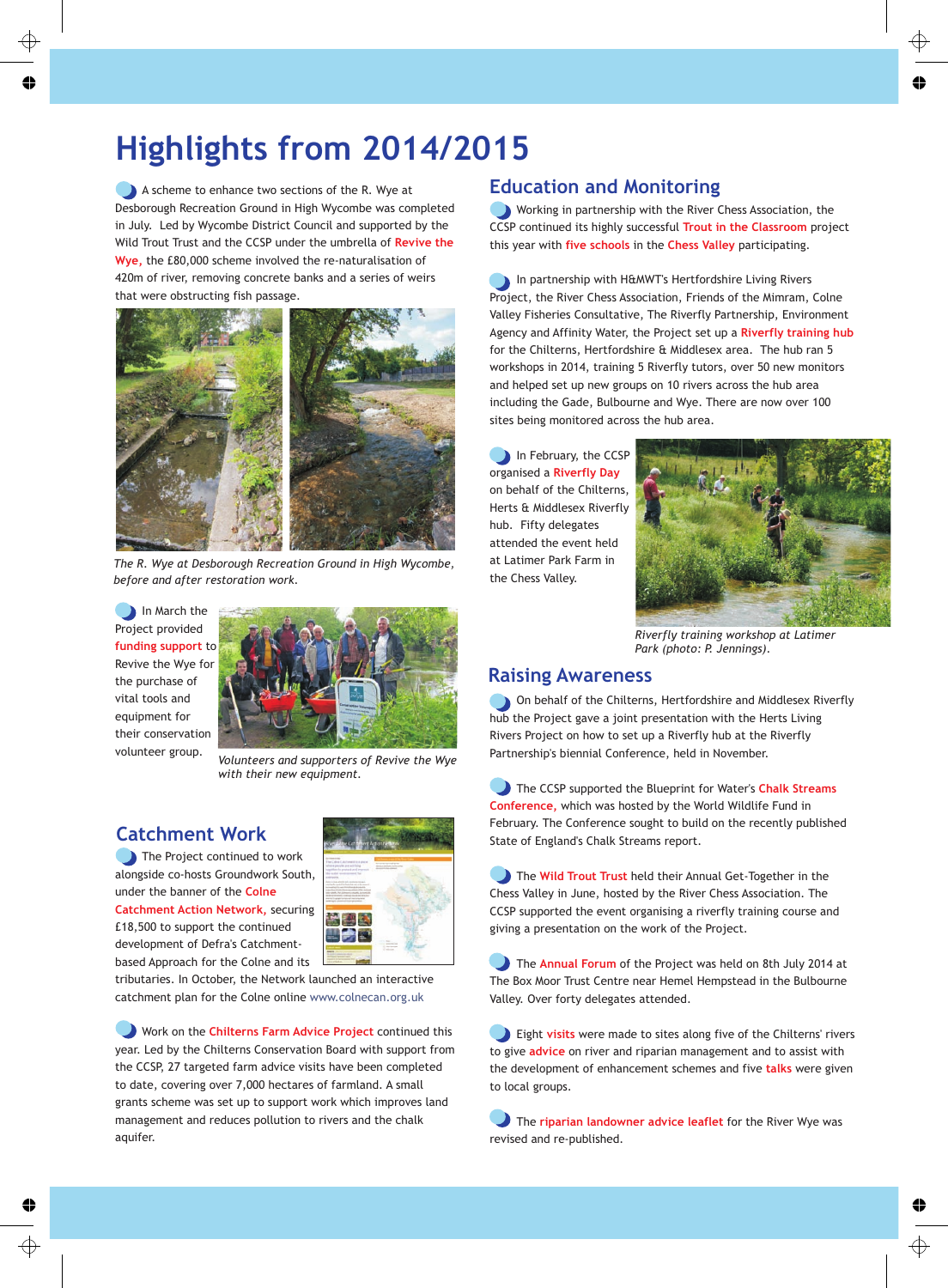# **Highlights from 2014/2015**

Desborough Recreation Ground in High Wycombe was completed in July. Led by Wycombe District Council and supported by the Wild Trout Trust and the CCSP under the umbrella of **Revive the Wye,** the £80,000 scheme involved the re-naturalisation of 420m of river, removing concrete banks and a series of weirs that were obstructing fish passage. A scheme to enhance two sections of the R. Wye at



*The R. Wye at Desborough Recreation Ground in High Wycombe, before and after restoration work.*

In March the Project provided **funding support** to Revive the Wye for the purchase of vital tools and equipment for their conservation volunteer group.



*Volunteers and supporters of Revive the Wye with their new equipment.*

#### **Catchment Work**

The Project continued to work alongside co-hosts Groundwork South, under the banner of the **Colne** 

**Catchment Action Network, securing** £18,500 to support the continued development of Defra's Catchmentbased Approach for the Colne and its



tributaries. In October, the Network launched an interactive catchment plan for the Colne online www.colnecan.org.uk

Work on the **Chilterns Farm Advice Project** continued this year. Led by the Chilterns Conservation Board with support from the CCSP, 27 targeted farm advice visits have been completed to date, covering over 7,000 hectares of farmland. A small grants scheme was set up to support work which improves land management and reduces pollution to rivers and the chalk aquifer.

#### **Education and Monitoring**

Working in partnership with the River Chess Association, the CCSP continued its highly successful **Trout in the Classroom** project this year with **five schools** in the **Chess Valley** participating.

In partnership with H&MWT's Hertfordshire Living Rivers Project, the River Chess Association, Friends of the Mimram, Colne Valley Fisheries Consultative, The Riverfly Partnership, Environment Agency and Affinity Water, the Project set up a **Riverfly training hub** for the Chilterns, Hertfordshire & Middlesex area. The hub ran 5 workshops in 2014, training 5 Riverfly tutors, over 50 new monitors and helped set up new groups on 10 rivers across the hub area including the Gade, Bulbourne and Wye. There are now over 100 sites being monitored across the hub area.

In February, the CCSP organised a **Riverfly Day** on behalf of the Chilterns, Herts & Middlesex Riverfly hub. Fifty delegates attended the event held at Latimer Park Farm in the Chess Valley.



*Riverfly training workshop at Latimer Park (photo: P. Jennings).*

#### **Raising Awareness**

**On behalf of the Chilterns, Hertfordshire and Middlesex Riverfly** hub the Project gave a joint presentation with the Herts Living Rivers Project on how to set up a Riverfly hub at the Riverfly Partnership's biennial Conference, held in November.

The CCSP supported the Blueprint for Water's **Chalk Streams Conference,** which was hosted by the World Wildlife Fund in February. The Conference sought to build on the recently published State of England's Chalk Streams report.

The **Wild Trout Trust** held their Annual Get-Together in the Chess Valley in June, hosted by the River Chess Association. The CCSP supported the event organising a riverfly training course and giving a presentation on the work of the Project.

The **Annual Forum** of the Project was held on 8th July 2014 at The Box Moor Trust Centre near Hemel Hempstead in the Bulbourne Valley. Over forty delegates attended.

Eight visits were made to sites along five of the Chilterns' rivers to give **advice** on river and riparian management and to assist with the development of enhancement schemes and five **talks** were given to local groups.

The riparian landowner advice leaflet for the River Wye was revised and re-published.